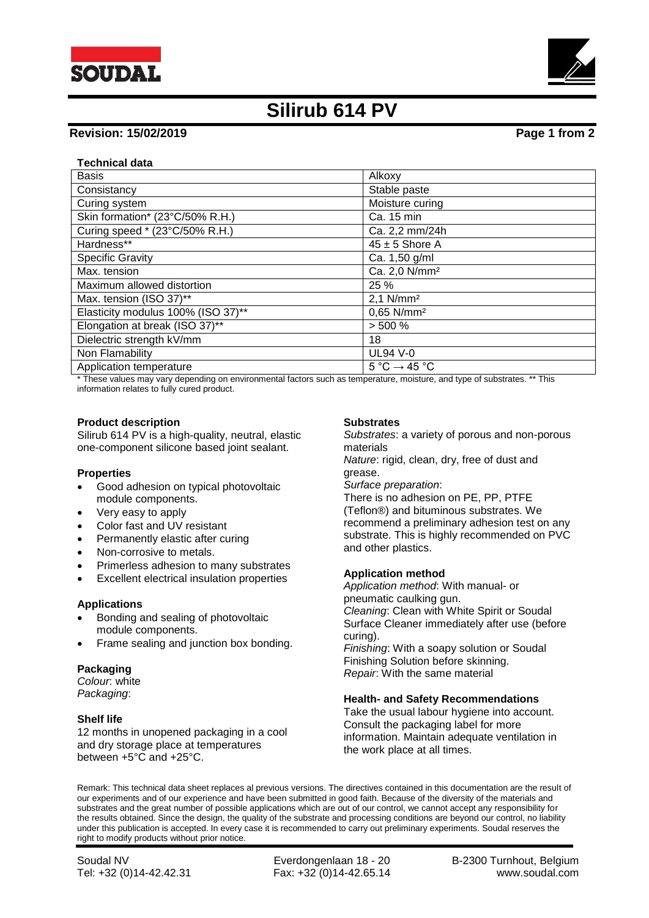



# **Silirub 614 PV**

# **Revision: 15/02/2019 Page 1 from 2**

# **Technical data**

| <b>Basis</b>                       | Alkoxy                                      |
|------------------------------------|---------------------------------------------|
|                                    |                                             |
| Consistancy                        | Stable paste                                |
| Curing system                      | Moisture curing                             |
| Skin formation* (23°C/50% R.H.)    | Ca. 15 min                                  |
| Curing speed * (23°C/50% R.H.)     | Ca. 2,2 mm/24h                              |
| Hardness**                         | $45 \pm 5$ Shore A                          |
| <b>Specific Gravity</b>            | Ca. 1,50 g/ml                               |
| Max. tension                       | Ca. 2,0 N/mm <sup>2</sup>                   |
| Maximum allowed distortion         | 25%                                         |
| Max. tension (ISO 37)**            | $2,1$ N/mm <sup>2</sup>                     |
| Elasticity modulus 100% (ISO 37)** | $0.65$ N/mm <sup>2</sup>                    |
| Elongation at break (ISO 37)**     | > 500 %                                     |
| Dielectric strength kV/mm          | 18                                          |
| Non Flamability                    | <b>UL94 V-0</b>                             |
| Application temperature            | $5^{\circ}$ C $\rightarrow$ 45 $^{\circ}$ C |

\* These values may vary depending on environmental factors such as temperature, moisture, and type of substrates. \*\* This information relates to fully cured product.

#### **Product description**

Silirub 614 PV is a high-quality, neutral, elastic one-component silicone based joint sealant.

#### **Properties**

- Good adhesion on typical photovoltaic module components.
- Very easy to apply
- Color fast and UV resistant
- Permanently elastic after curing
- Non-corrosive to metals.
- Primerless adhesion to many substrates
- Excellent electrical insulation properties

#### **Applications**

- Bonding and sealing of photovoltaic module components.
- Frame sealing and junction box bonding.

#### **Packaging**

*Colour*: white *Packaging*:

### **Shelf life**

12 months in unopened packaging in a cool and dry storage place at temperatures between +5°C and +25°C.

### **Substrates**

*Substrates*: a variety of porous and non-porous materials

*Nature*: rigid, clean, dry, free of dust and grease.

*Surface preparation*:

There is no adhesion on PE, PP, PTFE (Teflon®) and bituminous substrates. We recommend a preliminary adhesion test on any substrate. This is highly recommended on PVC and other plastics.

#### **Application method**

*Application method*: With manual- or pneumatic caulking gun. *Cleaning*: Clean with White Spirit or Soudal Surface Cleaner immediately after use (before curing).

*Finishing*: With a soapy solution or Soudal Finishing Solution before skinning. *Repair*: With the same material

#### **Health- and Safety Recommendations**

Take the usual labour hygiene into account. Consult the packaging label for more information. Maintain adequate ventilation in the work place at all times.

Remark: This technical data sheet replaces al previous versions. The directives contained in this documentation are the result of our experiments and of our experience and have been submitted in good faith. Because of the diversity of the materials and substrates and the great number of possible applications which are out of our control, we cannot accept any responsibility for the results obtained. Since the design, the quality of the substrate and processing conditions are beyond our control, no liability under this publication is accepted. In every case it is recommended to carry out preliminary experiments. Soudal reserves the right to modify products without prior notice.